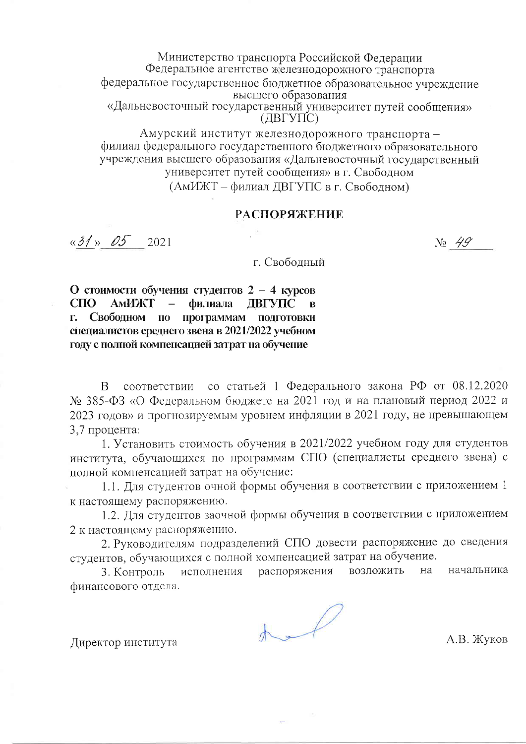Министерство транспорта Российской Федерации Федеральное агентство железнодорожного транспорта федеральное государственное бюджетное образовательное учреждение высшего образования «Дальневосточный государственный университет путей сообщения»  $(IBFYTC)$ Амурский институт железнодорожного транспорта -

филиал федерального государственного бюджетного образовательного учреждения высшего образования «Дальневосточный государственный университет путей сообщения» в г. Свободном (АмИЖТ – филиал ДВГУПС в г. Свободном)

#### **РАСПОРЯЖЕНИЕ**

 $\kappa$ 31  $\approx$  05 2021

No 49

г. Свободный

О стоимости обучения студентов  $2 - 4$  курсов  $C<sub>II</sub>O$ АмИЖТ филиала ДВГУПС в г. Свободном по программам подготовки специалистов среднего звена в 2021/2022 учебном году с полной компенсацией затрат на обучение

соответствии со статьей 1 Федерального закона РФ от 08.12.2020  $\overline{B}$ № 385-ФЗ «О Федеральном бюджете на 2021 год и на плановый период 2022 и 2023 годов» и прогнозируемым уровнем инфляции в 2021 году, не превышающем 3,7 процента:

1. Установить стоимость обучения в 2021/2022 учебном году для студентов института, обучающихся по программам СПО (специалисты среднего звена) с полной компенсацией затрат на обучение:

1.1. Для студентов очной формы обучения в соответствии с приложением 1 к настоящему распоряжению.

1.2. Для студентов заочной формы обучения в соответствии с приложением 2 к настоящему распоряжению.

2. Руководителям подразделений СПО довести распоряжение до сведения студентов, обучающихся с полной компенсацией затрат на обучение.

возложить начальника исполнения распоряжения на 3. Контроль финансового отдела.

 $A - D$ 

А.В. Жуков

Директор института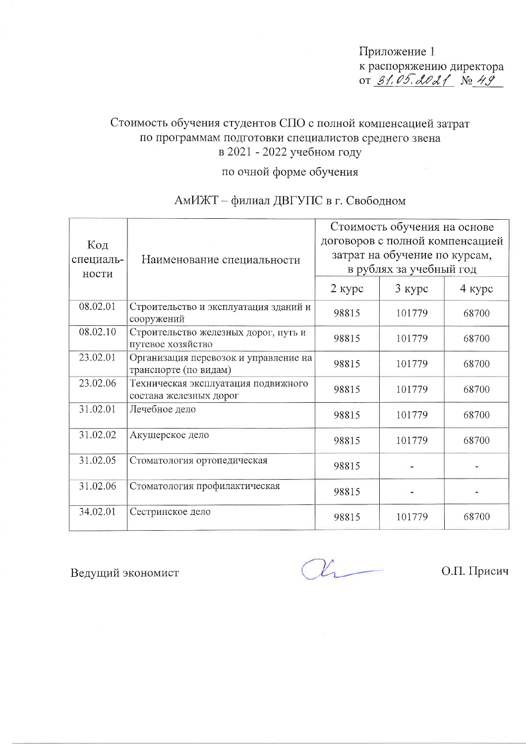Приложение 1 к распоряжению директора 0T 31.05.2021 No 49

 $\frac{1}{2}$ 

### Стоимость обучения студентов СПО с полной компенсацией затрат по программам подготовки специалистов среднего звена в 2021 - 2022 учебном году

### по очной форме обучения

### АмИЖТ - филиал ДВГУПС в г. Свободном

| Код                | Наименование специальности                                     | Стоимость обучения на основе<br>договоров с полной компенсацией |          |          |
|--------------------|----------------------------------------------------------------|-----------------------------------------------------------------|----------|----------|
| специаль-<br>ности |                                                                | затрат на обучение по курсам,<br>в рублях за учебный год        |          |          |
|                    |                                                                | $2$ курс                                                        | $3$ курс | $4$ курс |
| 08.02.01           | Строительство и эксплуатация зданий и<br>сооружений            | 98815                                                           | 101779   | 68700    |
| 08.02.10           | Строительство железных дорог, путь и<br>путевое хозяйство      | 98815                                                           | 101779   | 68700    |
| 23.02.01           | Организация перевозок и управление на<br>транспорте (по видам) | 98815                                                           | 101779   | 68700    |
| 23.02.06           | Техническая эксплуатация подвижного<br>состава железных дорог  | 98815                                                           | 101779   | 68700    |
| 31.02.01           | Лечебное дело                                                  | 98815                                                           | 101779   | 68700    |
| 31.02.02           | Акушерское дело                                                | 98815                                                           | 101779   | 68700    |
| 31.02.05           | Стоматология ортопедическая                                    | 98815                                                           |          |          |
| 31.02.06           | Стоматология профилактическая                                  | 98815                                                           |          |          |
| 34.02.01           | Сестринское дело                                               | 98815                                                           | 101779   | 68700    |

Ведущий экономист

 $\mathcal{U}_{\text{r}}$ 

О.П. Присич